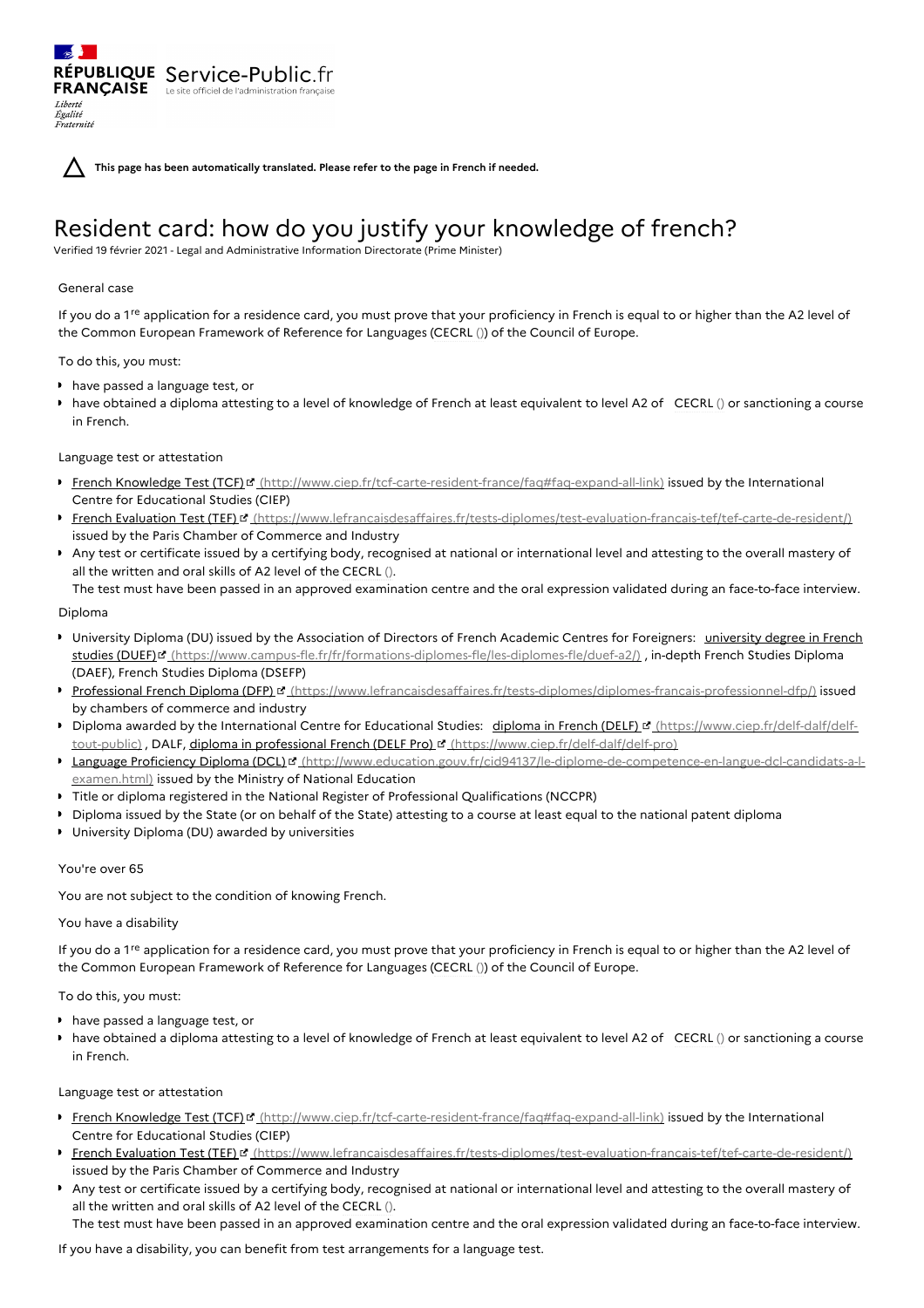**This page has been automatically translated. Please refer to the page in French if needed.**

# Resident card: how do you justify your knowledge of french?

Verified 19 février 2021 - Legal and Administrative Information Directorate (Prime Minister)

## General case

Liberté Égalité Fraternité

If you do a 1<sup>re</sup> application for a residence card, you must prove that your proficiency in French is equal to or higher than the A2 level of the Common European Framework of Reference for Languages (CECRL ()) of the Council of Europe.

To do this, you must:

have passed a language test, or

RÉPUBLIQUE Service-Public.fr **FRANÇAISE** Le site officiel de l'administration fran

have obtained a diploma attesting to a level of knowledge of French at least equivalent to level A2 of CECRL () or sanctioning a course in French.

# Language test or attestation

- French Knowledge Test (TCF) <sup>o</sup> [\(http://www.ciep.fr/tcf-carte-resident-france/faq#faq-expand-all-link\)](http://www.ciep.fr/tcf-carte-resident-france/faq#faq-expand-all-link) issued by the International Centre for Educational Studies (CIEP)
- French Evaluation Test (TEF) d' [\(https://www.lefrancaisdesaffaires.fr/tests-diplomes/test-evaluation-francais-tef/tef-carte-de-resident/\)](https://www.lefrancaisdesaffaires.fr/tests-diplomes/test-evaluation-francais-tef/tef-carte-de-resident/) issued by the Paris Chamber of Commerce and Industry
- Any test or certificate issued by a certifying body, recognised at national or international level and attesting to the overall mastery of all the written and oral skills of A2 level of the CECRL ().

The test must have been passed in an approved examination centre and the oral expression validated during an face-to-face interview.

#### Diploma

- University Diploma (DU) issued by the Association of Directors of French Academic Centres for Foreigners: university degree in French studies (DUEF)<sup>&</sup> [\(https://www.campus-fle.fr/fr/formations-diplomes-fle/les-diplomes-fle/duef-a2/\)](https://www.campus-fle.fr/fr/formations-diplomes-fle/les-diplomes-fle/duef-a2/) , in-depth French Studies Diploma (DAEF), French Studies Diploma (DSEFP)
- Professional French Diploma (DFP) & [\(https://www.lefrancaisdesaffaires.fr/tests-diplomes/diplomes-francais-professionnel-dfp/\)](https://www.lefrancaisdesaffaires.fr/tests-diplomes/diplomes-francais-professionnel-dfp/) issued by chambers of commerce and industry
- Diploma awarded by the International Centre for Educational Studies: diploma in French (DELF) I (https://www.ciep.fr/delf-dalf/delf-tout-public[\)](https://www.ciep.fr/delf-dalf/delf-tout-public), DALF, diploma in professional French (DELF Pro) **d'** [\(https://www.ciep.fr/delf-dalf/delf-pro](https://www.ciep.fr/delf-dalf/delf-pro))
- Language Proficiency Diploma (DCL) d' [\(http://www.education.gouv.fr/cid94137/le-diplome-de-competence-en-langue-dcl-candidats-a-l](http://www.education.gouv.fr/cid94137/le-diplome-de-competence-en-langue-dcl-candidats-a-l-examen.html)examen.html) issued by the Ministry of National Education
- Title or diploma registered in the National Register of Professional Qualifications (NCCPR)
- Diploma issued by the State (or on behalf of the State) attesting to a course at least equal to the national patent diploma
- University Diploma (DU) awarded by universities

# You're over 65

You are not subject to the condition of knowing French.

## You have a disability

If you do a  $1^{\text{re}}$  application for a residence card, you must prove that your proficiency in French is equal to or higher than the A2 level of the Common European Framework of Reference for Languages (CECRL ()) of the Council of Europe.

# To do this, you must:

- have passed a language test, or
- have obtained a diploma attesting to a level of knowledge of French at least equivalent to level A2 of CECRL () or sanctioning a course in French.

## Language test or attestation

- French Knowledge Test (TCF) <sup>o</sup> [\(http://www.ciep.fr/tcf-carte-resident-france/faq#faq-expand-all-link\)](http://www.ciep.fr/tcf-carte-resident-france/faq#faq-expand-all-link) issued by the International Centre for Educational Studies (CIEP)
- French Evaluation Test (TEF) d' [\(https://www.lefrancaisdesaffaires.fr/tests-diplomes/test-evaluation-francais-tef/tef-carte-de-resident/\)](https://www.lefrancaisdesaffaires.fr/tests-diplomes/test-evaluation-francais-tef/tef-carte-de-resident/) issued by the Paris Chamber of Commerce and Industry
- Any test or certificate issued by a certifying body, recognised at national or international level and attesting to the overall mastery of all the written and oral skills of A2 level of the CECRL ().

The test must have been passed in an approved examination centre and the oral expression validated during an face-to-face interview.

If you have a disability, you can benefit from test arrangements for a language test.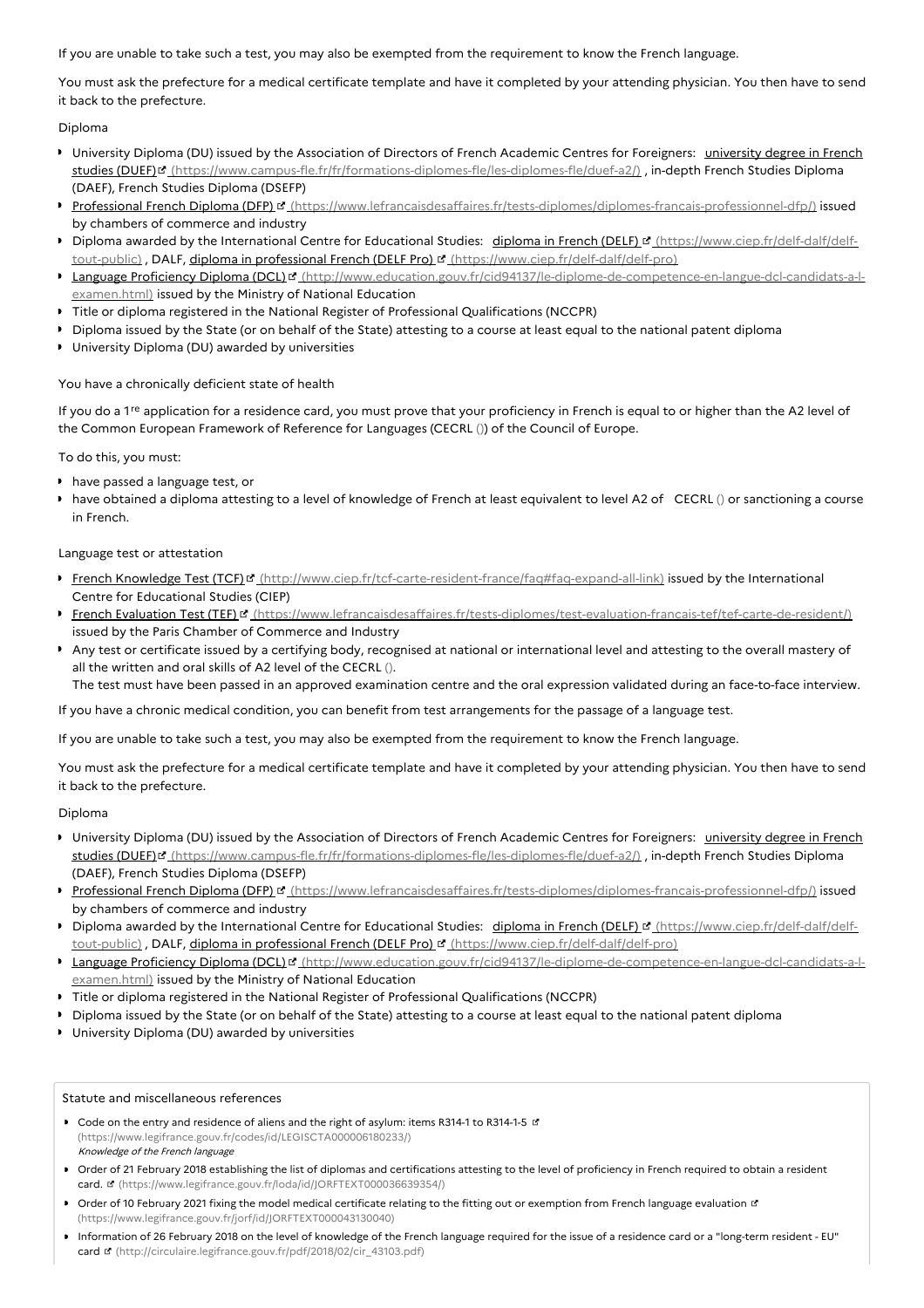If you are unable to take such a test, you may also be exempted from the requirement to know the French language.

You must ask the prefecture for a medical certificate template and have it completed by your attending physician. You then have to send it back to the prefecture.

#### Diploma

- University Diploma (DU) issued by the Association of Directors of French Academic Centres for Foreigners: university degree in French studies (DUEF)<sup>&</sup> [\(https://www.campus-fle.fr/fr/formations-diplomes-fle/les-diplomes-fle/duef-a2/\)](https://www.campus-fle.fr/fr/formations-diplomes-fle/les-diplomes-fle/duef-a2/) , in-depth French Studies Diploma (DAEF), French Studies Diploma (DSEFP)
- Professional French Diploma (DFP) " [\(https://www.lefrancaisdesaffaires.fr/tests-diplomes/diplomes-francais-professionnel-dfp/\)](https://www.lefrancaisdesaffaires.fr/tests-diplomes/diplomes-francais-professionnel-dfp/) issued by chambers of commerce and industry
- Diploma awarded by the International Centre for Educational Studies: diploma in French (DELF) I (https://www.ciep.fr/delf-dalf/delf-tout-public), DALF, diploma in professional French (DELF Pro) I [\(https://www.ciep.fr/delf-dalf/delf-pro\)](https://www.ciep.fr/delf-dalf/delf-tout-public)
- Language Proficiency Diploma (DCL)<sup>r</sup> [\(http://www.education.gouv.fr/cid94137/le-diplome-de-competence-en-langue-dcl-candidats-a-l](http://www.education.gouv.fr/cid94137/le-diplome-de-competence-en-langue-dcl-candidats-a-l-examen.html)examen.html) issued by the Ministry of National Education
- Title or diploma registered in the National Register of Professional Qualifications (NCCPR)
- Diploma issued by the State (or on behalf of the State) attesting to a course at least equal to the national patent diploma
- University Diploma (DU) awarded by universities

#### You have a chronically deficient state of health

If you do a 1<sup>re</sup> application for a residence card, you must prove that your proficiency in French is equal to or higher than the A2 level of the Common European Framework of Reference for Languages (CECRL ()) of the Council of Europe.

#### To do this, you must:

- have passed a language test, or
- have obtained a diploma attesting to a level of knowledge of French at least equivalent to level A2 of CECRL () or sanctioning a course in French.

#### Language test or attestation

- French Knowledge Test (TCF) of [\(http://www.ciep.fr/tcf-carte-resident-france/faq#faq-expand-all-link\)](http://www.ciep.fr/tcf-carte-resident-france/faq#faq-expand-all-link) issued by the International Centre for Educational Studies (CIEP)
- French Evaluation Test (TEF) [ [\(https://www.lefrancaisdesaffaires.fr/tests-diplomes/test-evaluation-francais-tef/tef-carte-de-resident/\)](https://www.lefrancaisdesaffaires.fr/tests-diplomes/test-evaluation-francais-tef/tef-carte-de-resident/) issued by the Paris Chamber of Commerce and Industry
- Any test or certificate issued by a certifying body, recognised at national or international level and attesting to the overall mastery of all the written and oral skills of A2 level of the CECRL ().

The test must have been passed in an approved examination centre and the oral expression validated during an face-to-face interview.

If you have a chronic medical condition, you can benefit from test arrangements for the passage of a language test.

If you are unable to take such a test, you may also be exempted from the requirement to know the French language.

You must ask the prefecture for a medical certificate template and have it completed by your attending physician. You then have to send it back to the prefecture.

#### Diploma

- **IDIM** University Diploma (DU) issued by the Association of Directors of French Academic Centres for Foreigners: university degree in French studies (DUEF)<sup>&</sup> [\(https://www.campus-fle.fr/fr/formations-diplomes-fle/les-diplomes-fle/duef-a2/\)](https://www.campus-fle.fr/fr/formations-diplomes-fle/les-diplomes-fle/duef-a2/) , in-depth French Studies Diploma (DAEF), French Studies Diploma (DSEFP)
- Professional French Diploma (DFP) ¤ [\(https://www.lefrancaisdesaffaires.fr/tests-diplomes/diplomes-francais-professionnel-dfp/\)](https://www.lefrancaisdesaffaires.fr/tests-diplomes/diplomes-francais-professionnel-dfp/) issued by chambers of commerce and industry
- Diploma awarded by the International Centre for Educational Studies: diploma in French (DELF) a (https://www.ciep.fr/delf-dalf/delftout-public), DALF, diploma in professional French (DELF Pro) **d'** [\(https://www.ciep.fr/delf-dalf/delf-pro\)](https://www.ciep.fr/delf-dalf/delf-tout-public)
- Language Proficiency Diploma (DCL)<sup>er</sup> [\(http://www.education.gouv.fr/cid94137/le-diplome-de-competence-en-langue-dcl-candidats-a-l](http://www.education.gouv.fr/cid94137/le-diplome-de-competence-en-langue-dcl-candidats-a-l-examen.html)examen.html) issued by the Ministry of National Education
- Title or diploma registered in the National Register of Professional Qualifications (NCCPR)
- Diploma issued by the State (or on behalf of the State) attesting to a course at least equal to the national patent diploma
- University Diploma (DU) awarded by universities

#### Statute and miscellaneous references

- **Code on the entry and residence of aliens and the right of asylum: items R314-1 to R314-1-5 L'** [\(https://www.legifrance.gouv.fr/codes/id/LEGISCTA000006180233/\)](https://www.legifrance.gouv.fr/codes/id/LEGISCTA000006180233/) Knowledge of the French language
- Order of 21 February 2018 establishing the list of diplomas and certifications attesting to the level of proficiency in French required to obtain a resident card. & [\(https://www.legifrance.gouv.fr/loda/id/JORFTEXT000036639354/\)](https://www.legifrance.gouv.fr/loda/id/JORFTEXT000036639354/)
- Order of 10 February 2021 fixing the model medical certificate relating to the fitting out or exemption from French language evaluation of [\(https://www.legifrance.gouv.fr/jorf/id/JORFTEXT000043130040\)](https://www.legifrance.gouv.fr/jorf/id/JORFTEXT000043130040)
- Information of 26 February 2018 on the level of knowledge of the French language required for the issue of a residence card or a "long-term resident EU" card **E** [\(http://circulaire.legifrance.gouv.fr/pdf/2018/02/cir\\_43103.pdf\)](http://circulaire.legifrance.gouv.fr/pdf/2018/02/cir_43103.pdf)